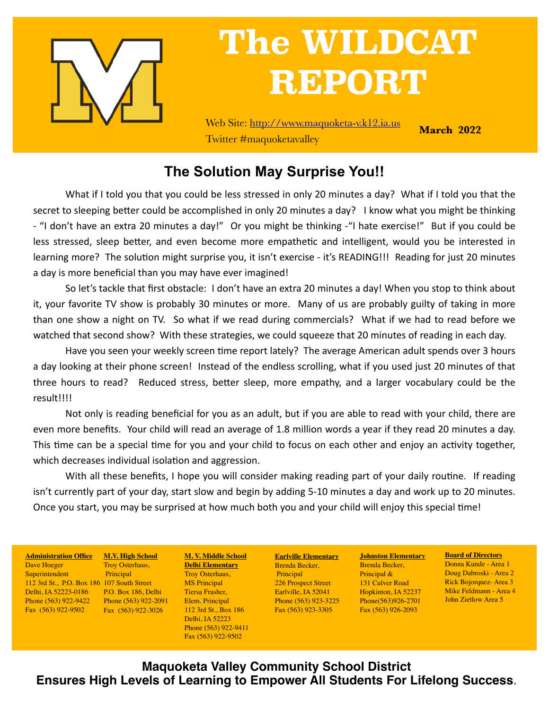

# **The WILDCAT REPORT**

Web Site: <http://www.maquoketa-v.k12.ia.us> Twitter #maquoketavalley

**March 2022**

### **The Solution May Surprise You!!**

What if I told you that you could be less stressed in only 20 minutes a day? What if I told you that the secret to sleeping better could be accomplished in only 20 minutes a day? I know what you might be thinking - "I don't have an extra 20 minutes a day!" Or you might be thinking -"I hate exercise!" But if you could be less stressed, sleep better, and even become more empathetic and intelligent, would you be interested in learning more? The solution might surprise you, it isn't exercise - it's READING!!! Reading for just 20 minutes a day is more beneficial than you may have ever imagined!

So let's tackle that first obstacle: I don't have an extra 20 minutes a day! When you stop to think about it, your favorite TV show is probably 30 minutes or more. Many of us are probably guilty of taking in more than one show a night on TV. So what if we read during commercials? What if we had to read before we watched that second show? With these strategies, we could squeeze that 20 minutes of reading in each day.

Have you seen your weekly screen time report lately? The average American adult spends over 3 hours a day looking at their phone screen! Instead of the endless scrolling, what if you used just 20 minutes of that three hours to read? Reduced stress, better sleep, more empathy, and a larger vocabulary could be the result!!!!

Not only is reading beneficial for you as an adult, but if you are able to read with your child, there are even more benefits. Your child will read an average of 1.8 million words a year if they read 20 minutes a day. This time can be a special time for you and your child to focus on each other and enjoy an activity together, which decreases individual isolation and aggression.

With all these benefits, I hope you will consider making reading part of your daily routine. If reading isn't currently part of your day, start slow and begin by adding 5-10 minutes a day and work up to 20 minutes. Once you start, you may be surprised at how much both you and your child will enjoy this special time!

112 3rd St., P.O. Box 186 107 South Street **Administration Office** Dave Hoeger Superintendent Delhi, IA 52223-0186 Phone (563) 922-9422 Fax (563) 922-9502

**M.V. High School** Troy Osterhaus, Principal P.O. Box 186, Delhi Phone (563) 922-2091 Fax (563) 922-3026

**M. V. Middle School Delhi Elementary** Troy Osterhaus, MS Principal Tiersa Frasher, Elem. Principal 112 3rd St., Box 186 Delhi, IA 52223 Phone (563) 922-9411 Fax (563) 922-9502

**Earlville Elementary** Brenda Becker, Principal 226 Prospect Street Earlville, IA 52041 Phone (563) 923-3225 Fax (563) 923-3305

**Johnston Elementary** Brenda Becker, Principal & 131 Culver Road Hopkinton, IA 52237 Phone(563)926-2701 Fax (563) 926-2093

**Board of Directors**

Donna Kunde - Area 1 Doug Dabroski - Area 2 Rick Bojorquez- Area 3 Mike Feldmann - Area 4 John Zietlow Area 5

**Maquoketa Valley Community School District Ensures High Levels of Learning to Empower All Students For Lifelong Success**.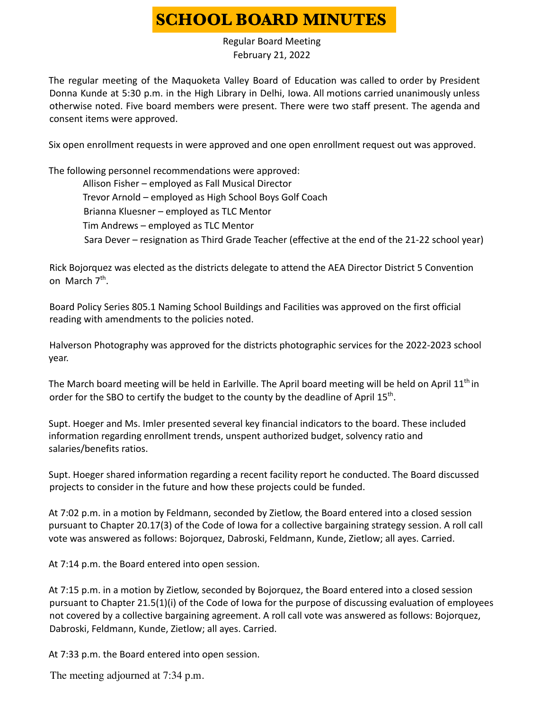## **SCHOOL BOARD MINUTES**

Regular Board Meeting February 21, 2022

The regular meeting of the Maquoketa Valley Board of Education was called to order by President Donna Kunde at 5:30 p.m. in the High Library in Delhi, Iowa. All motions carried unanimously unless otherwise noted. Five board members were present. There were two staff present. The agenda and consent items were approved.

Six open enrollment requests in were approved and one open enrollment request out was approved.

The following personnel recommendations were approved: Allison Fisher – employed as Fall Musical Director Trevor Arnold – employed as High School Boys Golf Coach Brianna Kluesner – employed as TLC Mentor Tim Andrews – employed as TLC Mentor Sara Dever – resignation as Third Grade Teacher (effective at the end of the 21-22 school year)

Rick Bojorquez was elected as the districts delegate to attend the AEA Director District 5 Convention on March 7<sup>th</sup>.

Board Policy Series 805.1 Naming School Buildings and Facilities was approved on the first official reading with amendments to the policies noted.

Halverson Photography was approved for the districts photographic services for the 2022-2023 school year.

The March board meeting will be held in Earlville. The April board meeting will be held on April 11<sup>th</sup> in order for the SBO to certify the budget to the county by the deadline of April 15<sup>th</sup>.

Supt. Hoeger and Ms. Imler presented several key financial indicators to the board. These included information regarding enrollment trends, unspent authorized budget, solvency ratio and salaries/benefits ratios.

Supt. Hoeger shared information regarding a recent facility report he conducted. The Board discussed projects to consider in the future and how these projects could be funded.

At 7:02 p.m. in a motion by Feldmann, seconded by Zietlow, the Board entered into a closed session pursuant to Chapter 20.17(3) of the Code of Iowa for a collective bargaining strategy session. A roll call vote was answered as follows: Bojorquez, Dabroski, Feldmann, Kunde, Zietlow; all ayes. Carried.

At 7:14 p.m. the Board entered into open session.

At 7:15 p.m. in a motion by Zietlow, seconded by Bojorquez, the Board entered into a closed session pursuant to Chapter 21.5(1)(i) of the Code of Iowa for the purpose of discussing evaluation of employees not covered by a collective bargaining agreement. A roll call vote was answered as follows: Bojorquez, Dabroski, Feldmann, Kunde, Zietlow; all ayes. Carried.

At 7:33 p.m. the Board entered into open session.

The meeting adjourned at 7:34 p.m.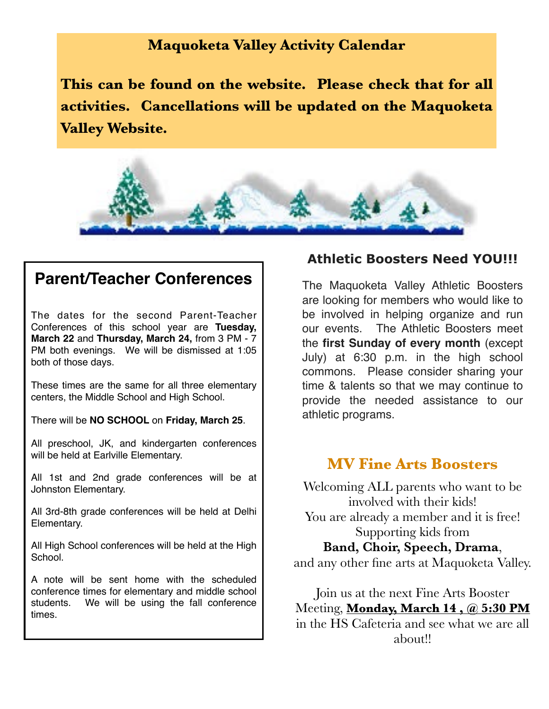#### **Maquoketa Valley Activity Calendar**

**This can be found on the website. Please check that for all activities. Cancellations will be updated on the Maquoketa Valley Website.**



## **Parent/Teacher Conferences**

The dates for the second Parent-Teacher Conferences of this school year are **Tuesday, March 22** and **Thursday, March 24,** from 3 PM - 7 PM both evenings. We will be dismissed at 1:05 both of those days.

These times are the same for all three elementary centers, the Middle School and High School.

There will be **NO SCHOOL** on **Friday, March 25**.

All preschool, JK, and kindergarten conferences will be held at Earlville Elementary.

All 1st and 2nd grade conferences will be at Johnston Elementary.

All 3rd-8th grade conferences will be held at Delhi Elementary.

All High School conferences will be held at the High School.

A note will be sent home with the scheduled conference times for elementary and middle school students. We will be using the fall conference times.

#### **Athletic Boosters Need YOU!!!**

The Maquoketa Valley Athletic Boosters are looking for members who would like to be involved in helping organize and run our events. The Athletic Boosters meet the **first Sunday of every month** (except July) at 6:30 p.m. in the high school commons. Please consider sharing your time & talents so that we may continue to provide the needed assistance to our athletic programs.

#### **MV Fine Arts Boosters**

Welcoming ALL parents who want to be involved with their kids! You are already a member and it is free! Supporting kids from **Band, Choir, Speech, Drama**, and any other fine arts at Maquoketa Valley.

Join us at the next Fine Arts Booster Meeting, **Monday, March 14 , @ 5:30 PM** in the HS Cafeteria and see what we are all about!!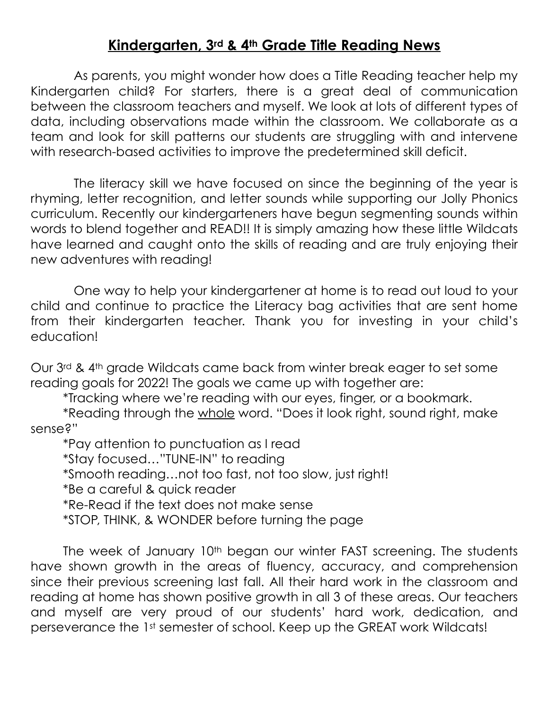#### **Kindergarten, 3rd & 4th Grade Title Reading News**

As parents, you might wonder how does a Title Reading teacher help my Kindergarten child? For starters, there is a great deal of communication between the classroom teachers and myself. We look at lots of different types of data, including observations made within the classroom. We collaborate as a team and look for skill patterns our students are struggling with and intervene with research-based activities to improve the predetermined skill deficit.

The literacy skill we have focused on since the beginning of the year is rhyming, letter recognition, and letter sounds while supporting our Jolly Phonics curriculum. Recently our kindergarteners have begun segmenting sounds within words to blend together and READ!! It is simply amazing how these little Wildcats have learned and caught onto the skills of reading and are truly enjoying their new adventures with reading!

One way to help your kindergartener at home is to read out loud to your child and continue to practice the Literacy bag activities that are sent home from their kindergarten teacher. Thank you for investing in your child's education!

Our 3rd & 4th grade Wildcats came back from winter break eager to set some reading goals for 2022! The goals we came up with together are:

\*Tracking where we're reading with our eyes, finger, or a bookmark.

\*Reading through the whole word. "Does it look right, sound right, make sense?"

\*Pay attention to punctuation as I read \*Stay focused…"TUNE-IN" to reading \*Smooth reading…not too fast, not too slow, just right! \*Be a careful & quick reader \*Re-Read if the text does not make sense \*STOP, THINK, & WONDER before turning the page

The week of January 10<sup>th</sup> began our winter FAST screening. The students have shown growth in the areas of fluency, accuracy, and comprehension since their previous screening last fall. All their hard work in the classroom and reading at home has shown positive growth in all 3 of these areas. Our teachers and myself are very proud of our students' hard work, dedication, and perseverance the 1st semester of school. Keep up the GREAT work Wildcats!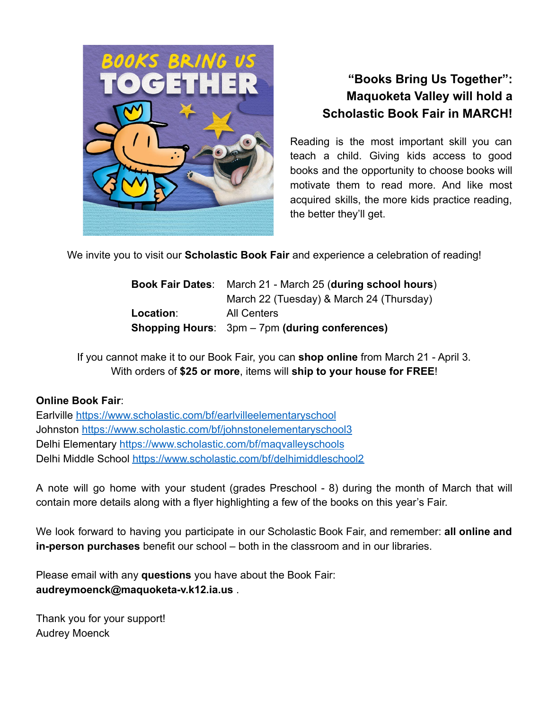

#### **"Books Bring Us Together": Maquoketa Valley will hold a Scholastic Book Fair in MARCH!**

Reading is the most important skill you can teach a child. Giving kids access to good books and the opportunity to choose books will motivate them to read more. And like most acquired skills, the more kids practice reading, the better they'll get.

We invite you to visit our **Scholastic Book Fair** and experience a celebration of reading!

| <b>Book Fair Dates:</b> | March 21 - March 25 (during school hours)             |  |  |
|-------------------------|-------------------------------------------------------|--|--|
|                         | March 22 (Tuesday) & March 24 (Thursday)              |  |  |
| Location:               | <b>All Centers</b>                                    |  |  |
|                         | <b>Shopping Hours:</b> 3pm – 7pm (during conferences) |  |  |

If you cannot make it to our Book Fair, you can **shop online** from March 21 - April 3. With orders of **\$25 or more**, items will **ship to your house for FREE**!

#### **Online Book Fair**:

Earlville https://www.scholastic.com/bf/earlvilleelementaryschool Johnston https://www.scholastic.com/bf/johnstonelementaryschool3 Delhi Elementary https://www.scholastic.com/bf/maqvalleyschools Delhi Middle School https://www.scholastic.com/bf/delhimiddleschool2

A note will go home with your student (grades Preschool - 8) during the month of March that will contain more details along with a flyer highlighting a few of the books on this year's Fair.

We look forward to having you participate in our Scholastic Book Fair, and remember: **all online and in-person purchases** benefit our school – both in the classroom and in our libraries.

Please email with any **questions** you have about the Book Fair: **audreymoenck@maquoketa-v.k12.ia.us** .

Thank you for your support! Audrey Moenck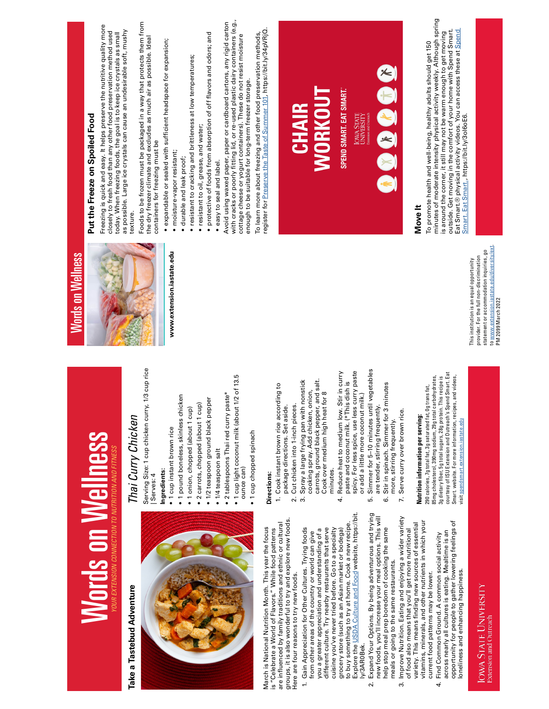|                                                                             |                                                                                                                            | <b>Words on Wellness</b>                                                              |                                                                                                                                                                                                                              |
|-----------------------------------------------------------------------------|----------------------------------------------------------------------------------------------------------------------------|---------------------------------------------------------------------------------------|------------------------------------------------------------------------------------------------------------------------------------------------------------------------------------------------------------------------------|
| <b>Words on Wellness</b>                                                    |                                                                                                                            |                                                                                       | Put the Freeze on Spoiled Food                                                                                                                                                                                               |
| OUR EXTENSION CONNECTION TO NUTRITION AND FITNES.                           |                                                                                                                            |                                                                                       | Freezing is quick and easy. It helps preserve the nutritive quality more<br>closely to fresh food than any other food preservation method used<br>today. When freezing foods, the goal is to keep ice crystals as small      |
| Adventure                                                                   | Thai Curry Chicken                                                                                                         |                                                                                       | as possible. Large ice crystals can cause an undesirable soft, mushy<br>texture.                                                                                                                                             |
|                                                                             | /3 cup rice<br>Serving Size: 1 cup chicken curry, 1<br>Serves: 4                                                           |                                                                                       | Foods to be frozen must be packaged in a way that protects them from<br>the dry freezer climate and excludes as much air as possible. Ideal<br>containers for freezing must be                                               |
|                                                                             | · 1 cup instant brown rice<br>ngredients:                                                                                  | www.extension.iastate.edu                                                             | expandable or sealed with sufficient headspace for expansion;                                                                                                                                                                |
|                                                                             | 1 pound boneless, skinless chicken                                                                                         |                                                                                       | moisture-vapor resistant;<br>durable and leak proof;                                                                                                                                                                         |
|                                                                             | · 2 carrots, chopped (about 1 cup)<br>· 1 onion, chopped (about 1 cup)                                                     |                                                                                       | resistant to cracking and brittleness at low temperatures;                                                                                                                                                                   |
|                                                                             | · 1/2 teaspoon ground black pepper                                                                                         |                                                                                       | · protective of foods from absorption of off flavors and odors; and<br>· resistant to oil, grease, and water;                                                                                                                |
|                                                                             | · 1/4 teaspoon salt                                                                                                        |                                                                                       | · easy to seal and label.                                                                                                                                                                                                    |
|                                                                             | 1 cup light coconut milk (about 1/2 of 13.5<br>te*<br>2 tablespoons Thai red curry past                                    |                                                                                       | with cracks or poorly fitting lid, or re-used plastic dairy containers (e.g.,<br>cottage cheese or yogurt containers). These do not resist moisture<br>Avoid using waxed paper, paper or cardboard cartons, any rigid carton |
|                                                                             | oup chopped spinach<br>ounce can)                                                                                          |                                                                                       | enough to be suitable for long-term freezer storage.                                                                                                                                                                         |
| ition Month. This year the focus                                            |                                                                                                                            |                                                                                       | register for Preserve the Taste of Summer 101, https://bit.ly/34pVRjQ<br>To learn more about freezing and other food preservation methods,                                                                                   |
| of Flavors." While food patterns                                            | Directions:                                                                                                                |                                                                                       |                                                                                                                                                                                                                              |
| lerful to try and explore new foods.<br>y traditions and ethnic or cultural | Cook instant brown rice according to<br>package directions. Set aside.<br>$\ddot{ }$                                       |                                                                                       |                                                                                                                                                                                                                              |
| to try new foods.                                                           | Cut chicken into 1-inch pieces.<br>2.                                                                                      |                                                                                       | <b>CHAIR</b>                                                                                                                                                                                                                 |
| for Other Cultures. Trying foods                                            | Spray a large frying pan with nonstick<br>cooking spray. Add chicken, onion,<br>က်                                         |                                                                                       |                                                                                                                                                                                                                              |
| eciation and understanding of a<br>f the country or world can give          | carrots, ground black pepper, and salt.                                                                                    |                                                                                       | <b>WORKOUT</b>                                                                                                                                                                                                               |
| ry nearby restaurants that serve<br>er tried before. Go to a specialty      | Cook over medium high heat for 8<br>minutes.                                                                               |                                                                                       |                                                                                                                                                                                                                              |
| as an Asian market or bodega)                                               | Reduce heat to medium low. Stir in curry<br>4.                                                                             |                                                                                       | SPEND SMART. EAT SMART.                                                                                                                                                                                                      |
| Culture and Food website, https://bit.<br>o try at home. Cook a new recipe  | spicy. For less spice, use less curry paste<br>paste and coconut milk. (*This dish is                                      |                                                                                       |                                                                                                                                                                                                                              |
|                                                                             | or add a little more coconut milk.)                                                                                        |                                                                                       | <b>IOWA STATE</b><br>UNIVERSITY                                                                                                                                                                                              |
| ns. By being adventurous and trying<br>ncrease your meal options. This will | Simmer for 5-10 minutes until vegetables<br>are tender, stirring frequently.<br>r.                                         |                                                                                       |                                                                                                                                                                                                                              |
| p boredom of cooking the same<br>he same restaurants.                       | inutes<br>Stir in spinach. Simmer for 3 m<br>more, stirring frequently.<br>6                                               |                                                                                       | $\ast$                                                                                                                                                                                                                       |
| Eating and enjoying a wider variety<br>that you'll get more nutritional     | Serve curry over brown rice.<br>Z.                                                                                         |                                                                                       |                                                                                                                                                                                                                              |
| s finding new sources of essential                                          | Nutrition information per serving:                                                                                         |                                                                                       | Move It                                                                                                                                                                                                                      |
| and other nutrients in which your<br>ns may be lower.                       | 290 calories, 7g total fat, 3g saturated fat, 0g trans fat,                                                                |                                                                                       | To promote health and well-being, healthy adults should get 150                                                                                                                                                              |
| Itures is eating. Mealtime is an<br>und. A common social activity           | 85mg cholesterol, 390mg sodium, 29g total carbohydrates,<br>3g dietary fiber, 5g total sugars, 28g protein. This recipe is |                                                                                       | minutes of moderate intensity physical activity weekly. Although spring<br>is around the corner, it still may not be warm enough to get moving                                                                               |
| ople to gather lowering feelings of                                         | courtesy of ISU Extension and Outreach's Spend Smart. Eat<br>and videos,<br>Smart. website. For more information, recipes, |                                                                                       | outside. Get moving in the comfort of your home with Spend Smart.<br>Eat Smart.® physical activity videos. You can access these at Spend                                                                                     |
| ancing happiness.                                                           | visit spendsmart.extension.iastate.edu                                                                                     | This institution is an equal opportunity                                              | Smart. Eat Smart., https://bit.ly/3ol6oE6.                                                                                                                                                                                   |
| VIVERSITY                                                                   |                                                                                                                            | statement or accommodation inquiries, go<br>provider. For the full non-discrimination |                                                                                                                                                                                                                              |
|                                                                             |                                                                                                                            | to www.extension.iastate.edu/diversity/ext<br>PM 2099 March 2022                      |                                                                                                                                                                                                                              |
|                                                                             |                                                                                                                            |                                                                                       |                                                                                                                                                                                                                              |

# Take a Tastebud Adventure **Take a Tastebud Adventure**



groups, it is also wonderful to try and explore new foods. groups, it is also wonderful to try and explore new foods. is "Celebrate a World of Flavors." While food patterns<br>are influenced by family traditions and ethnic or cultural are influenced by family traditions and ethnic or cultural March is National Nutrition Month. This year the focus March is National Nutrition Month. This year the focus is "Celebrate a World of Flavors." While food patterns Here are four reasons to try new foods. Here are four reasons to try new foods.

- Explore the USDA Culture and Food website, https://bit to buy something to try at home. Cook a new recipe. cuisine you've never tried before. Go to a specialty 1. Gain Appreciation for Other Cultures. Trying foods 1. Gain Appreciation for Other Cultures. Trying foods from other areas of the country or world can give<br>you a greater appreciation and understanding of a different culture. Try nearby restaurants that serve different culture. Try nearby restaurants that serve cuisine you've never tried before. Go to a specialty grocery store (such as an Asian market or bodega) grocery store (such as an Asian market or bodega) you a greater appreciation and understanding of a from other areas of the country or world can give ly/3AR0Bek. ly/3AR0Bek.
- 2. Expand Your Options. By being adventurous and trying 2. Expand Your Options. By being adventurous and trying new foods, you'll increase your meal options. This will new foods, you'll increase your meal options. This will help stop meal prep boredom of cooking the same help stop meal prep boredom of cooking the same meals or going to the same restaurants. meals or going to the same restaurants.
- 3. Improve Nutrition. Eating and enjoying a wider variety 3. Improve Nutrition. Eating and enjoying a wider variety vitamins, minerals, and other nutrients in which your variety. This means finding new sources of essential variety. This means finding new sources of essential vitamins, minerals, and other nutrients in which your of food also means that you'll get more nutritional of food also means that you'll get more nutritional current food patterns may be lower. current food patterns may be lower.
	- Find Common Ground. A common social activity<br>across nearly all cultures is eating. Mealtime is an<br>opportunity for people to gather lowering feelings of<br>loneliness and enhancing happiness. opportunity for people to gather lowering feelings of across nearly all cultures is eating. Mealtime is an 4. Find Common Ground. A common social activity loneliness and enhancing happiness. 4

IOWA STATE UNIVERSITY<br>Extension and Outreach

- 
- 
- -
- 
- 

- 
-